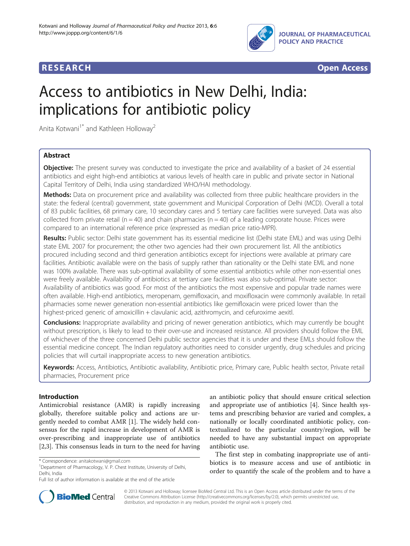



# Access to antibiotics in New Delhi, India: implications for antibiotic policy

Anita Kotwani $1^*$  and Kathleen Holloway<sup>2</sup>

## Abstract

Objective: The present survey was conducted to investigate the price and availability of a basket of 24 essential antibiotics and eight high-end antibiotics at various levels of health care in public and private sector in National Capital Territory of Delhi, India using standardized WHO/HAI methodology.

Methods: Data on procurement price and availability was collected from three public healthcare providers in the state: the federal (central) government, state government and Municipal Corporation of Delhi (MCD). Overall a total of 83 public facilities, 68 primary care, 10 secondary cares and 5 tertiary care facilities were surveyed. Data was also collected from private retail ( $n = 40$ ) and chain pharmacies ( $n = 40$ ) of a leading corporate house. Prices were compared to an international reference price (expressed as median price ratio-MPR).

Results: Public sector: Delhi state government has its essential medicine list (Delhi state EML) and was using Delhi state EML 2007 for procurement; the other two agencies had their own procurement list. All the antibiotics procured including second and third generation antibiotics except for injections were available at primary care facilities. Antibiotic available were on the basis of supply rather than rationality or the Delhi state EML and none was 100% available. There was sub-optimal availability of some essential antibiotics while other non-essential ones were freely available. Availability of antibiotics at tertiary care facilities was also sub-optimal. Private sector: Availability of antibiotics was good. For most of the antibiotics the most expensive and popular trade names were often available. High-end antibiotics, meropenam, gemifloxacin, and moxifloxacin were commonly available. In retail pharmacies some newer generation non-essential antibiotics like gemifloxacin were priced lower than the highest-priced generic of amoxicillin + clavulanic acid, azithromycin, and cefuroxime aexitl.

**Conclusions:** Inappropriate availability and pricing of newer generation antibiotics, which may currently be bought without prescription, is likely to lead to their over-use and increased resistance. All providers should follow the EML of whichever of the three concerned Delhi public sector agencies that it is under and these EMLs should follow the essential medicine concept. The Indian regulatory authorities need to consider urgently, drug schedules and pricing policies that will curtail inappropriate access to new generation antibiotics.

Keywords: Access, Antibiotics, Antibiotic availability, Antibiotic price, Primary care, Public health sector, Private retail pharmacies, Procurement price

### Introduction

Antimicrobial resistance (AMR) is rapidly increasing globally, therefore suitable policy and actions are urgently needed to combat AMR [[1\]](#page-11-0). The widely held consensus for the rapid increase in development of AMR is over-prescribing and inappropriate use of antibiotics [[2,3\]](#page-11-0). This consensus leads in turn to the need for having an antibiotic policy that should ensure critical selection and appropriate use of antibiotics [[4\]](#page-11-0). Since health systems and prescribing behavior are varied and complex, a nationally or locally coordinated antibiotic policy, contextualized to the particular country/region, will be needed to have any substantial impact on appropriate antibiotic use.

The first step in combating inappropriate use of antibiotics is to measure access and use of antibiotic in order to quantify the scale of the problem and to have a



© 2013 Kotwani and Holloway; licensee BioMed Central Ltd. This is an Open Access article distributed under the terms of the Creative Commons Attribution License (<http://creativecommons.org/licenses/by/2.0>), which permits unrestricted use, distribution, and reproduction in any medium, provided the original work is properly cited.

<sup>\*</sup> Correspondence: [anitakotwani@gmail.com](mailto:anitakotwani@gmail.com) <sup>1</sup>

<sup>&</sup>lt;sup>1</sup>Department of Pharmacology, V. P. Chest Institute, University of Delhi, Delhi, India

Full list of author information is available at the end of the article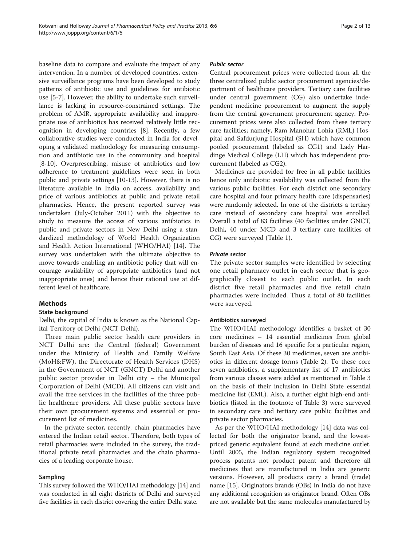baseline data to compare and evaluate the impact of any intervention. In a number of developed countries, extensive surveillance programs have been developed to study patterns of antibiotic use and guidelines for antibiotic use [\[5](#page-11-0)-[7\]](#page-11-0). However, the ability to undertake such surveillance is lacking in resource-constrained settings. The problem of AMR, appropriate availability and inappropriate use of antibiotics has received relatively little recognition in developing countries [\[8](#page-11-0)]. Recently, a few collaborative studies were conducted in India for developing a validated methodology for measuring consumption and antibiotic use in the community and hospital [[8-10](#page-11-0)]. Overprescribing, misuse of antibiotics and low adherence to treatment guidelines were seen in both public and private settings [[10](#page-11-0)-[13\]](#page-11-0). However, there is no literature available in India on access, availability and price of various antibiotics at public and private retail pharmacies. Hence, the present reported survey was undertaken (July-October 2011) with the objective to study to measure the access of various antibiotics in public and private sectors in New Delhi using a standardized methodology of World Health Organization and Health Action International (WHO/HAI) [\[14](#page-11-0)]. The survey was undertaken with the ultimate objective to move towards enabling an antibiotic policy that will encourage availability of appropriate antibiotics (and not inappropriate ones) and hence their rational use at different level of healthcare.

#### Methods

#### State background

Delhi, the capital of India is known as the National Capital Territory of Delhi (NCT Delhi).

Three main public sector health care providers in NCT Delhi are: the Central (federal) Government under the Ministry of Health and Family Welfare (MoH&FW), the Directorate of Health Services (DHS) in the Government of NCT (GNCT) Delhi and another public sector provider in Delhi city – the Municipal Corporation of Delhi (MCD). All citizens can visit and avail the free services in the facilities of the three public healthcare providers. All these public sectors have their own procurement systems and essential or procurement list of medicines.

In the private sector, recently, chain pharmacies have entered the Indian retail sector. Therefore, both types of retail pharmacies were included in the survey, the traditional private retail pharmacies and the chain pharmacies of a leading corporate house.

#### Sampling

This survey followed the WHO/HAI methodology [[14](#page-11-0)] and was conducted in all eight districts of Delhi and surveyed five facilities in each district covering the entire Delhi state.

#### Public sector

Central procurement prices were collected from all the three centralized public sector procurement agencies/department of healthcare providers. Tertiary care facilities under central government (CG) also undertake independent medicine procurement to augment the supply from the central government procurement agency. Procurement prices were also collected from these tertiary care facilities; namely, Ram Manohar Lohia (RML) Hospital and Safdurjung Hospital (SH) which have common pooled procurement (labeled as CG1) and Lady Hardinge Medical College (LH) which has independent procurement (labeled as CG2).

Medicines are provided for free in all public facilities hence only antibiotic availability was collected from the various public facilities. For each district one secondary care hospital and four primary health care (dispensaries) were randomly selected. In one of the districts a tertiary care instead of secondary care hospital was enrolled. Overall a total of 83 facilities (40 facilities under GNCT, Delhi, 40 under MCD and 3 tertiary care facilities of CG) were surveyed (Table [1](#page-2-0)).

#### Private sector

The private sector samples were identified by selecting one retail pharmacy outlet in each sector that is geographically closest to each public outlet. In each district five retail pharmacies and five retail chain pharmacies were included. Thus a total of 80 facilities were surveyed.

#### Antibiotics surveyed

The WHO/HAI methodology identifies a basket of 30 core medicines – 14 essential medicines from global burden of diseases and 16 specific for a particular region, South East Asia. Of these 30 medicines, seven are antibiotics in different dosage forms (Table [2](#page-2-0)). To these core seven antibiotics, a supplementary list of 17 antibiotics from various classes were added as mentioned in Table [3](#page-2-0) on the basis of their inclusion in Delhi State essential medicine list (EML). Also, a further eight high-end antibiotics (listed in the footnote of Table [3\)](#page-2-0) were surveyed in secondary care and tertiary care public facilities and private sector pharmacies.

As per the WHO/HAI methodology [\[14](#page-11-0)] data was collected for both the originator brand, and the lowestpriced generic equivalent found at each medicine outlet. Until 2005, the Indian regulatory system recognized process patents not product patent and therefore all medicines that are manufactured in India are generic versions. However, all products carry a brand (trade) name [\[15\]](#page-11-0). Originators brands (OBs) in India do not have any additional recognition as originator brand. Often OBs are not available but the same molecules manufactured by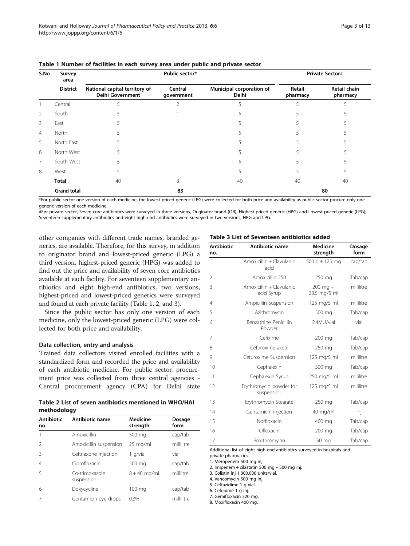| S.No           | Survey<br>area     |                                                          | Public sector*        |                                   | <b>Private Sector#</b> |                                 |  |
|----------------|--------------------|----------------------------------------------------------|-----------------------|-----------------------------------|------------------------|---------------------------------|--|
|                | <b>District</b>    | National capital territory of<br><b>Delhi Government</b> | Central<br>government | Municipal corporation of<br>Delhi | Retail<br>pharmacy     | <b>Retail chain</b><br>pharmacy |  |
|                | Central            |                                                          |                       |                                   |                        |                                 |  |
| 2              | South              |                                                          |                       |                                   |                        |                                 |  |
| 3              | East               |                                                          |                       |                                   |                        |                                 |  |
| $\overline{4}$ | North              |                                                          |                       |                                   |                        |                                 |  |
| 5              | North East         |                                                          |                       |                                   |                        |                                 |  |
| 6              | North West         |                                                          |                       |                                   |                        |                                 |  |
| $\overline{7}$ | South West         |                                                          |                       |                                   |                        |                                 |  |
| 8              | West               |                                                          |                       |                                   |                        |                                 |  |
|                | <b>Total</b>       | 40                                                       |                       | 40                                | 40                     | 40                              |  |
|                | <b>Grand total</b> |                                                          | 83                    |                                   |                        | 80                              |  |

<span id="page-2-0"></span>Table 1 Number of facilities in each survey area under public and private sector

\*For public sector one version of each medicine, the lowest-priced generic (LPG) were collected for both price and availability as public sector procure only one generic version of each medicine.

#For private sector, Seven core antibiotics were surveyed in three versions, Originator brand (OB), Highest-priced generic (HPG) and Lowest-priced generic (LPG); Seventeen supplementary antibiotics and eight high end antibiotics were surveyed in two versions, HPG and LPG.

other companies with different trade names, branded generics, are available. Therefore, for this survey, in addition to originator brand and lowest-priced generic (LPG) a third version, highest-priced generic (HPG) was added to find out the price and availability of seven core antibiotics available at each facility. For seventeen supplementary antibiotics and eight high-end antibiotics, two versions, highest-priced and lowest-priced generics were surveyed and found at each private facility (Table 1, 2, and 3).

Since the public sector has only one version of each medicine, only the lowest-priced generic (LPG) were collected for both price and availability.

#### Data collection, entry and analysis

Trained data collectors visited enrolled facilities with a standardized form and recorded the price and availability of each antibiotic medicine. For public sector, procurement price was collected from three central agencies - Central procurement agency (CPA) for Delhi state

Table 2 List of seven antibiotics mentioned in WHO/HAI methodology

| <b>Antibiotic</b><br>no. | Antibiotic name              | Medicine<br>strength | Dosage<br>form |
|--------------------------|------------------------------|----------------------|----------------|
|                          | Amoxicillin                  | 500 mg               | cap/tab        |
| $\mathcal{P}$            | Amoxicillin suspension       | $25 \text{ mg/ml}$   | millilitre     |
| Β                        | Ceftriaxone injection        | 1 g/vial             | vial           |
| $\overline{4}$           | Ciprofloxacin                | 500 mg               | cap/tab        |
| 5                        | Co-trimoxazole<br>suspension | $8 + 40$ mg/ml       | mililitre      |
| 6                        | Doxycycline                  | 100 mg               | cap/tab        |
|                          | Gentamicin eye drops         | 0.3%                 | millilitre     |

#### Table 3 List of Seventeen antibiotics added

| <b>Antibiotic</b><br>no. | Antibiotic name                        | <b>Medicine</b><br>strength | Dosage<br>form |
|--------------------------|----------------------------------------|-----------------------------|----------------|
| 1                        | Amoxicillin + Clavulanic<br>acid       | $500$ g + 125 mg            | cap/tab        |
| 2                        | Amoxicillin 250                        | 250 mg                      | Tab/cap        |
| 3                        | Amoxicillin + Clavulanic<br>acid Syrup | $200$ mg +<br>28.5 mg/5 ml  | mililitre      |
| 4                        | Ampicillin Suspension                  | 125 mg/5 ml                 | mililitre      |
| 5                        | Azithromycin                           | 500 mg                      | Tab/cap        |
| 6                        | Benzathine Penicillin<br>Powder        | 2.4MU/vial                  | vial           |
| 7                        | Cefixime                               | 200 mg                      | Tab/cap        |
| 8                        | Cefuroxime axetil                      | 250 mg                      | Tab/cap        |
| 9                        | Cefuroxime Suspension                  | 125 mg/5 ml                 | mililitre      |
| 10                       | Cephalexin                             | 500 mg                      | Tab/cap        |
| 11                       | Cephalexin Syrup                       | 250 mg/5 ml                 | mililitre      |
| 12                       | Erythromycin powder for<br>suspension  | 125 mg/5 ml                 | mililitre      |
| 13                       | Erythromycin Stearate                  | 250 mg                      | Tab/cap        |
| 14                       | Gentamicin injection                   | $40 \text{ mg/ml}$          | inj            |
| 15                       | Norfloxacin                            | 400 mg                      | Tab/cap        |
| 16                       | Ofloxacin                              | 200 mg                      | Tab/cap        |
| 17                       | Roxithromycin                          | 50 mg                       | Tab/cap        |

Additional list of eight high-end antibiotics surveyed in hospitals and

private pharmacies.

1. Meropenem 500 mg inj.

2. Imipenem + cilastatin 500 mg + 500 mg inj.

3. Colistin inj 1,000,000 units/vial.

4. Vancomycin 500 mg inj.

5. Ceftazidime 1 g vial.

6. Cefepime 1 g inj.

7. Gemifloxacin 320 mg.

8. Moxifloxacin 400 mg.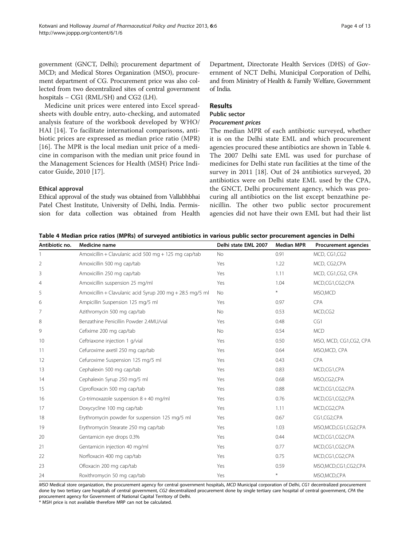<span id="page-3-0"></span>government (GNCT, Delhi); procurement department of MCD; and Medical Stores Organization (MSO), procurement department of CG. Procurement price was also collected from two decentralized sites of central government hospitals – CG1 (RML/SH) and CG2 (LH).

Medicine unit prices were entered into Excel spreadsheets with double entry, auto-checking, and automated analysis feature of the workbook developed by WHO/ HAI [[14\]](#page-11-0). To facilitate international comparisons, antibiotic prices are expressed as median price ratio (MPR) [[16\]](#page-11-0). The MPR is the local median unit price of a medicine in comparison with the median unit price found in the Management Sciences for Health (MSH) Price Indicator Guide, 2010 [[17\]](#page-11-0).

#### Ethical approval

Ethical approval of the study was obtained from Vallabhbhai Patel Chest Institute, University of Delhi, India. Permission for data collection was obtained from Health Department, Directorate Health Services (DHS) of Government of NCT Delhi, Municipal Corporation of Delhi, and from Ministry of Health & Family Welfare, Government of India.

#### Results

# Public sector

# Procurement prices

The median MPR of each antibiotic surveyed, whether it is on the Delhi state EML and which procurement agencies procured these antibiotics are shown in Table 4. The 2007 Delhi sate EML was used for purchase of medicines for Delhi state run facilities at the time of the survey in 2011 [\[18](#page-11-0)]. Out of 24 antibiotics surveyed, 20 antibiotics were on Delhi state EML used by the CPA, the GNCT, Delhi procurement agency, which was procuring all antibiotics on the list except benzathine penicillin. The other two public sector procurement agencies did not have their own EML but had their list

|  | Table 4 Median price ratios (MPRs) of surveyed antibiotics in various public sector procurement agencies in Delhi |  |  |  |  |
|--|-------------------------------------------------------------------------------------------------------------------|--|--|--|--|
|--|-------------------------------------------------------------------------------------------------------------------|--|--|--|--|

| Antibiotic no. | Medicine name                                             | Delhi state EML 2007 | <b>Median MPR</b> | <b>Procurement agencies</b> |
|----------------|-----------------------------------------------------------|----------------------|-------------------|-----------------------------|
|                | Amoxicillin + Clavulanic acid 500 mg + 125 mg cap/tab     | <b>No</b>            | 0.91              | MCD, CG1,CG2                |
| 2              | Amoxicillin 500 mg cap/tab                                | Yes                  | 1.22              | MCD, CG2,CPA                |
| 3              | Amoxicillin 250 mg cap/tab                                | Yes                  | 1.11              | MCD, CG1,CG2, CPA           |
| $\overline{4}$ | Amoxicillin suspension 25 mg/ml                           | Yes                  | 1.04              | MCD,CG1,CG2,CPA             |
| 5              | Amoxicillin + Clavulanic acid Syrup 200 mg + 28.5 mg/5 ml | No                   | $\ast$            | MSO, MCD                    |
| 6              | Ampicillin Suspension 125 mg/5 ml                         | Yes                  | 0.97              | <b>CPA</b>                  |
| 7              | Azithromycin 500 mg cap/tab                               | No                   | 0.53              | MCD,CG2                     |
| 8              | Benzathine Penicillin Powder 2.4MU/vial                   | Yes                  | 0.48              | CG1                         |
| 9              | Cefixime 200 mg cap/tab                                   | <b>No</b>            | 0.54              | <b>MCD</b>                  |
| 10             | Ceftriaxone injection 1 g/vial                            | Yes                  | 0.50              | MSO, MCD, CG1,CG2, CPA      |
| 11             | Cefuroxime axetil 250 mg cap/tab                          | Yes                  | 0.64              | MSO, MCD, CPA               |
| 12             | Cefuroxime Suspension 125 mg/5 ml                         | Yes                  | 0.43              | <b>CPA</b>                  |
| 13             | Cephalexin 500 mg cap/tab                                 | Yes                  | 0.83              | MCD,CG1,CPA                 |
| 14             | Cephalexin Syrup 250 mg/5 ml                              | Yes                  | 0.68              | MSO,CG2,CPA                 |
| 15             | Ciprofloxacin 500 mg cap/tab                              | Yes                  | 0.88              | MCD,CG1,CG2,CPA             |
| 16             | Co-trimoxazole suspension $8 + 40$ mg/ml                  | Yes                  | 0.76              | MCD,CG1,CG2,CPA             |
| 17             | Doxycycline 100 mg cap/tab                                | Yes                  | 1.11              | MCD,CG2,CPA                 |
| 18             | Erythromycin powder for suspension 125 mg/5 ml            | Yes                  | 0.67              | CG1,CG2,CPA                 |
| 19             | Erythromycin Stearate 250 mg cap/tab                      | Yes                  | 1.03              | MSO, MCD, CG1, CG2, CPA     |
| 20             | Gentamicin eye drops 0.3%                                 | Yes                  | 0.44              | MCD,CG1,CG2,CPA             |
| 21             | Gentamicin injection 40 mg/ml                             | Yes                  | 0.77              | MCD,CG1,CG2,CPA             |
| 22             | Norfloxacin 400 mg cap/tab                                | Yes                  | 0.75              | MCD,CG1,CG2,CPA             |
| 23             | Ofloxacin 200 mg cap/tab                                  | Yes                  | 0.59              | MSO, MCD, CG1, CG2, CPA     |
| 24             | Roxithromycin 50 mg cap/tab                               | Yes                  | $\ast$            | MSO, MCD, CPA               |

MSO Medical store organization, the procurement agency for central government hospitals, MCD Municipal corporation of Delhi, CG1 decentralized procurement done by two tertiary care hospitals of central government, CG2 decentralized procurement done by single tertiary care hospital of central government, CPA the procurement agency for Government of National Capital Territory of Delhi.

\* MSH price is not available therefore MRP can not be calculated.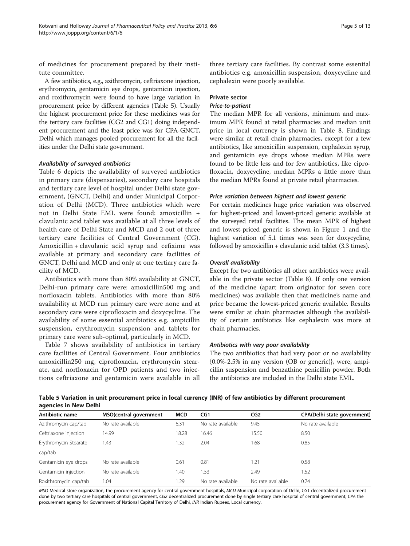of medicines for procurement prepared by their institute committee.

A few antibiotics, e.g., azithromycin, ceftriaxone injection, erythromycin, gentamicin eye drops, gentamicin injection, and roxithromycin were found to have large variation in procurement price by different agencies (Table 5). Usually the highest procurement price for these medicines was for the tertiary care facilities (CG2 and CG1) doing independent procurement and the least price was for CPA-GNCT, Delhi which manages pooled procurement for all the facilities under the Delhi state government.

#### Availability of surveyed antibiotics

Table [6](#page-5-0) depicts the availability of surveyed antibiotics in primary care (dispensaries), secondary care hospitals and tertiary care level of hospital under Delhi state government, (GNCT, Delhi) and under Municipal Corporation of Delhi (MCD). Three antibiotics which were not in Delhi State EML were found: amoxicillin + clavulanic acid tablet was available at all three levels of health care of Delhi State and MCD and 2 out of three tertiary care facilities of Central Government (CG). Amoxicillin + clavulanic acid syrup and cefixime was available at primary and secondary care facilities of GNCT, Delhi and MCD and only at one tertiary care facility of MCD.

Antibiotics with more than 80% availability at GNCT, Delhi-run primary care were: amoxicillin500 mg and norfloxacin tablets. Antibiotics with more than 80% availability at MCD run primary care were none and at secondary care were ciprofloxacin and doxycycline. The availability of some essential antibiotics e.g. ampicillin suspension, erythromycin suspension and tablets for primary care were sub-optimal, particularly in MCD.

Table [7](#page-6-0) shows availability of antibiotics in tertiary care facilities of Central Government. Four antibiotics amoxicillin250 mg, ciprofloxacin, erythromycin stearate, and norfloxacin for OPD patients and two injections ceftriaxone and gentamicin were available in all

three tertiary care facilities. By contrast some essential antibiotics e.g. amoxicillin suspension, doxycycline and cephalexin were poorly available.

#### Private sector

#### Price-to-patient

The median MPR for all versions, minimum and maximum MPR found at retail pharmacies and median unit price in local currency is shown in Table [8.](#page-7-0) Findings were similar at retail chain pharmacies, except for a few antibiotics, like amoxicillin suspension, cephalexin syrup, and gentamicin eye drops whose median MPRs were found to be little less and for few antibiotics, like ciprofloxacin, doxycycline, median MPRs a little more than the median MPRs found at private retail pharmacies.

#### Price variation between highest and lowest generic

For certain medicines huge price variation was observed for highest-priced and lowest-priced generic available at the surveyed retail facilities. The mean MPR of highest and lowest-priced generic is shown in Figure [1](#page-8-0) and the highest variation of 5.1 times was seen for doxycycline, followed by amoxicillin + clavulanic acid tablet (3.3 times).

#### Overall availability

Except for two antibiotics all other antibiotics were available in the private sector (Table [8](#page-7-0)). If only one version of the medicine (apart from originator for seven core medicines) was available then that medicine's name and price became the lowest-priced generic available. Results were similar at chain pharmacies although the availability of certain antibiotics like cephalexin was more at chain pharmacies.

#### Antibiotics with very poor availability

The two antibiotics that had very poor or no availability {0.0%-2.5% in any version (OB or generic)}, were, ampicillin suspension and benzathine penicillin powder. Both the antibiotics are included in the Delhi state EML.

Table 5 Variation in unit procurement price in local currency (INR) of few antibiotics by different procurement agencies in New Delhi

| Antibiotic name       | MSO(central government | <b>MCD</b> | CG1               | CG <sub>2</sub>   | <b>CPA(Delhi state government)</b> |
|-----------------------|------------------------|------------|-------------------|-------------------|------------------------------------|
| Azithromycin cap/tab  | No rate available      | 6.31       | No rate available | 9.45              | No rate available                  |
| Ceftriaxone injection | 14.99                  | 18.28      | 16.46             | 15.50             | 8.50                               |
| Erythromycin Stearate | 1.43                   | 1.32       | 2.04              | 1.68              | 0.85                               |
| cap/tab               |                        |            |                   |                   |                                    |
| Gentamicin eye drops  | No rate available      | 0.61       | 0.81              | 1.21              | 0.58                               |
| Gentamicin injection  | No rate available      | .40        | 1.53              | 2.49              | 1.52                               |
| Roxithromycin cap/tab | 1.04                   | 1.29       | No rate available | No rate available | 0.74                               |

MSO Medical store organization, the procurement agency for central government hospitals, MCD Municipal corporation of Delhi, CG1 decentralized procurement done by two tertiary care hospitals of central government, CG2 decentralized procurement done by single tertiary care hospital of central government, CPA the procurement agency for Government of National Capital Territory of Delhi, INR Indian Rupees, Local currency.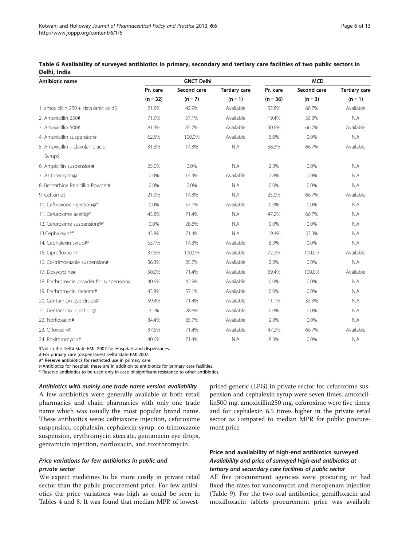| Antibiotic name                         |            | <b>GNCT Delhi</b> |                      | <b>MCD</b> |             |                      |
|-----------------------------------------|------------|-------------------|----------------------|------------|-------------|----------------------|
|                                         | Pr. care   | Second care       | <b>Tertiary care</b> | Pr. care   | Second care | <b>Tertiary care</b> |
|                                         | $(n = 32)$ | $(n = 7)$         | $(n = 1)$            | $(n = 36)$ | $(n = 3)$   | $(n = 1)$            |
| 1. amoxicillin 250 + clavulanic acid\$  | 21.9%      | 42.9%             | Available            | 52.8%      | 66.7%       | Available            |
| 2. Amoxicillin 250#                     | 71.9%      | 57.1%             | Available            | 19.4%      | 33.3%       | N.A                  |
| 3. Amoxicillin 500#                     | 81.3%      | 85.7%             | Available            | 30.6%      | 66.7%       | Available            |
| 4. Amoxicillin suspension#              | 62.5%      | 100.0%            | Available            | 5.6%       | 0.0%        | N.A                  |
| 5. Amoxicillin + clavulanic acid        | 31.3%      | 14.3%             | N.A                  | 58.3%      | 66.7%       | Available            |
| Syrup\$                                 |            |                   |                      |            |             |                      |
| 6. Ampicillin suspension#               | 25.0%      | 0.0%              | N.A                  | 2.8%       | 0.0%        | N.A                  |
| 7. Azithromycin@                        | 0.0%       | 14.3%             | Available            | 2.8%       | 0.0%        | N.A                  |
| 8. Benzathine Penicillin Powder#        | 0.0%       | 0.0%              | N.A                  | 0.0%       | 0.0%        | N.A                  |
| 9. Cefixime\$                           | 21.9%      | 14.3%             | N.A                  | 25.0%      | 66.7%       | Available            |
| 10. Ceftriaxone injection@*             | 0.0%       | 57.1%             | Available            | 0.0%       | 0.0%        | N.A                  |
| 11. Cefuroxime axetil@*                 | 43.8%      | 71.4%             | N.A                  | 47.2%      | 66.7%       | N.A                  |
| 12. Cefuroxime suspension@*             | 0.0%       | 28.6%             | N.A                  | 0.0%       | 0.0%        | NA                   |
| 13.Cephalexin#*                         | 43.8%      | 71.4%             | N.A                  | 19.4%      | 33.3%       | N.A                  |
| 14. Cephalexin syrup#*                  | 53.1%      | 14.3%             | Available            | 8.3%       | 0.0%        | N.A                  |
| 15. Ciprofloxacin#                      | 37.5%      | 100.0%            | Available            | 72.2%      | 100.0%      | Available            |
| 16. Co-trimoxazole suspension#          | 56.3%      | 85.7%             | Available            | 2.8%       | 0.0%        | N.A                  |
| 17. Doxycycline#                        | 50.0%      | 71.4%             | Available            | 69.4%      | 100.0%      | Available            |
| 18. Erythromycin powder for suspension# | 40.6%      | 42.9%             | Available            | 0.0%       | 0.0%        | N.A                  |
| 19. Erythromycin stearate#              | 43.8%      | 57.1%             | Available            | 0.0%       | 0.0%        | N.A                  |
| 20. Gentamicin eye drops@               | 59.4%      | 71.4%             | Available            | 11.1%      | 33.3%       | N.A                  |
| 21. Gentamicin injection@               | 3.1%       | 28.6%             | Available            | 0.0%       | 0.0%        | N.A                  |
| 22. Norfloxacin#                        | 84.4%      | 85.7%             | Available            | 2.8%       | 0.0%        | N.A                  |
| 23. Ofloxacin@                          | 37.5%      | 71.4%             | Available            | 47.2%      | 66.7%       | Available            |
| 24. Roxithromycin#                      | 40.6%      | 71.4%             | NA                   | 8.3%       | 0.0%        | N.A                  |

<span id="page-5-0"></span>Table 6 Availability of surveyed antibiotics in primary, secondary and tertiary care facilities of two public sectors in Delhi, India

\$Not in the Delhi State EML 2007 for Hospitals and dispensaries.

# For primary care (dispensaries) Delhi State EML2007.

#\* Reserve antibiotics for restricted use in primary care.

@Antibiotics for hospital; these are in addition to antibiotics for primary care facilities.

\* Reserve antibiotics to be used only in case of significant resistance to other antibiotics.

Antibiotics with mainly one trade name version availability A few antibiotics were generally available at both retail pharmacies and chain pharmacies with only one trade name which was usually the most popular brand name. These antibiotics were: ceftriaxone injection, cefuroxime suspension, cephalexin, cephalexin syrup, co-trimoxazole suspension, erythromycin stearate, gentamicin eye drops, gentamicin injection, norfloxacin, and roxithromycin.

#### Price variations for few antibiotics in public and private sector

We expect medicines to be more costly in private retail sector than the public procurement price. For few antibiotics the price variations was high as could be seen in Tables [4](#page-3-0) and [8](#page-7-0). It was found that median MPR of lowest-

priced generic (LPG) in private sector for cefuroxime suspension and cephalexin syrup were seven times; amoxicillin500 mg, amoxicillin250 mg, cefuroxime were five times; and for cephalexin 6.5 times higher in the private retail sector as compared to median MPR for public procurement price.

# Price and availability of high-end antibiotics surveyed Availability and price of surveyed high-end antibiotics at tertiary and secondary care facilities of public sector

All five procurement agencies were procuring or had fixed the rates for vancomycin and meropenam injection (Table [9\)](#page-9-0). For the two oral antibiotics, gemifloxacin and moxifloxacin tablets procurement price was available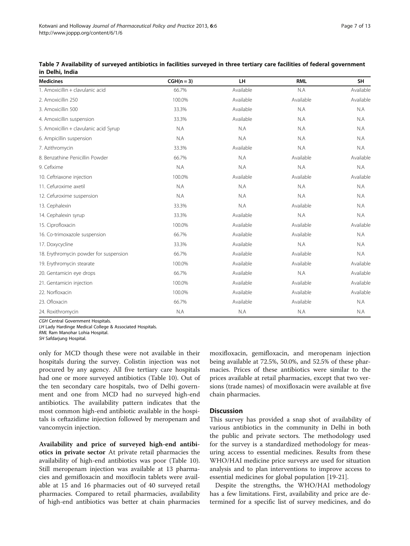| <b>Medicines</b>                       | $CGH(n=3)$ | LH.       | <b>RML</b> | <b>SH</b> |
|----------------------------------------|------------|-----------|------------|-----------|
| 1. Amoxicillin + clavulanic acid       | 66.7%      | Available | N.A        | Available |
| 2. Amoxicillin 250                     | 100.0%     | Available | Available  | Available |
| 3. Amoxicillin 500                     | 33.3%      | Available | N.A        | N.A       |
| 4. Amoxicillin suspension              | 33.3%      | Available | N.A        | N.A       |
| 5. Amoxicillin + clavulanic acid Syrup | N.A        | N.A       | N.A        | N.A       |
| 6. Ampicillin suspension               | N.A        | N.A       | N.A        | N.A       |
| 7. Azithromycin                        | 33.3%      | Available | N.A        | N.A       |
| 8. Benzathine Penicillin Powder        | 66.7%      | N.A       | Available  | Available |
| 9. Cefixime                            | N.A        | N.A       | N.A        | N.A       |
| 10. Ceftriaxone injection              | 100.0%     | Available | Available  | Available |
| 11. Cefuroxime axetil                  | N.A        | N.A       | N.A        | N.A       |
| 12. Cefuroxime suspension              | N.A        | N.A       | N.A        | N.A       |
| 13. Cephalexin                         | 33.3%      | N.A       | Available  | N.A       |
| 14. Cephalexin syrup                   | 33.3%      | Available | N.A        | N.A       |
| 15. Ciprofloxacin                      | 100.0%     | Available | Available  | Available |
| 16. Co-trimoxazole suspension          | 66.7%      | Available | Available  | N.A       |
| 17. Doxycycline                        | 33.3%      | Available | N.A        | N.A       |
| 18. Erythromycin powder for suspension | 66.7%      | Available | Available  | N.A       |
| 19. Erythromycin stearate              | 100.0%     | Available | Available  | Available |
| 20. Gentamicin eye drops               | 66.7%      | Available | N.A        | Available |
| 21. Gentamicin injection               | 100.0%     | Available | Available  | Available |
| 22. Norfloxacin                        | 100.0%     | Available | Available  | Available |
| 23. Ofloxacin                          | 66.7%      | Available | Available  | N.A       |
| 24. Roxithromycin                      | N.A        | N.A       | N.A        | N.A       |

<span id="page-6-0"></span>

| Table 7 Availability of surveyed antibiotics in facilities surveyed in three tertiary care facilities of federal government |  |  |  |  |
|-----------------------------------------------------------------------------------------------------------------------------|--|--|--|--|
| in Delhi, India                                                                                                             |  |  |  |  |

CGH Central Government Hospitals.

LH Lady Hardinge Medical College & Associated Hospitals.

RML Ram Manohar Lohia Hospital.

SH Safdarjung Hospital.

only for MCD though these were not available in their hospitals during the survey. Colistin injection was not procured by any agency. All five tertiary care hospitals had one or more surveyed antibiotics (Table [10](#page-10-0)). Out of the ten secondary care hospitals, two of Delhi government and one from MCD had no surveyed high-end antibiotics. The availability pattern indicates that the most common high-end antibiotic available in the hospitals is ceftazidime injection followed by meropenam and vancomycin injection.

Availability and price of surveyed high-end antibiotics in private sector At private retail pharmacies the availability of high-end antibiotics was poor (Table [10](#page-10-0)). Still meropenam injection was available at 13 pharmacies and gemifloxacin and moxiflocin tablets were available at 15 and 16 pharmacies out of 40 surveyed retail pharmacies. Compared to retail pharmacies, availability of high-end antibiotics was better at chain pharmacies moxifloxacin, gemifloxacin, and meropenam injection being available at 72.5%, 50.0%, and 52.5% of these pharmacies. Prices of these antibiotics were similar to the prices available at retail pharmacies, except that two versions (trade names) of moxifloxacin were available at five chain pharmacies.

#### **Discussion**

This survey has provided a snap shot of availability of various antibiotics in the community in Delhi in both the public and private sectors. The methodology used for the survey is a standardized methodology for measuring access to essential medicines. Results from these WHO/HAI medicine price surveys are used for situation analysis and to plan interventions to improve access to essential medicines for global population [\[19-21](#page-11-0)].

Despite the strengths, the WHO/HAI methodology has a few limitations. First, availability and price are determined for a specific list of survey medicines, and do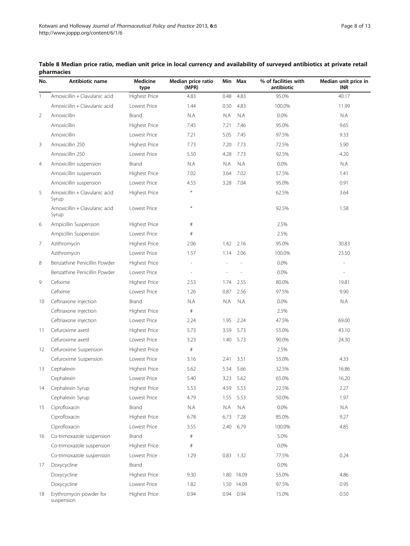| No.            | Antibiotic name                        | <b>Medicine</b><br>type | Median price ratio<br>(MPR) |      | Min Max    | % of facilities with<br>antibiotic | Median unit price in<br><b>INR</b> |
|----------------|----------------------------------------|-------------------------|-----------------------------|------|------------|------------------------------------|------------------------------------|
| 1              | Amoxicillin + Clavulanic acid          | <b>Highest Price</b>    | 4.83                        | 0.48 | 4.83       | 95.0%                              | 40.17                              |
|                | Amoxiciilin + Clavulanic acid          | Lowest Price            | 1.44                        | 0.50 | 4.83       | 100.0%                             | 11.99                              |
| $\overline{2}$ | Amoxicillin                            | Brand                   | N.A                         | N.A  | N.A        | 0.0%                               | N.A                                |
|                | Amoxicillin                            | <b>Highest Price</b>    | 7.45                        | 7.21 | 7.46       | 95.0%                              | 9.65                               |
|                | Amoxicillin                            | Lowest Price            | 7.21                        | 5.05 | 7.45       | 97.5%                              | 9.33                               |
| 3              | Amoxicillin 250                        | <b>Highest Price</b>    | 7.73                        | 7.20 | 7.73       | 72.5%                              | 5.90                               |
|                | Amoxicillin 250                        | Lowest Price            | 5.50                        | 4.28 | 7.73       | 92.5%                              | 4.20                               |
| $\overline{4}$ | Amoxicillin suspension                 | Brand                   | N.A                         | N.A  | N.A        | 0.0%                               | N.A                                |
|                | Amoxicillin suspension                 | <b>Highest Price</b>    | 7.02                        | 3.64 | 7.02       | 57.5%                              | 1.41                               |
|                | Amoxicillin suspension                 | Lowest Price            | 4.55                        | 3.28 | 7.04       | 95.0%                              | 0.91                               |
| 5              | Amoxicillin + Clavulanic acid<br>Syrup | <b>Highest Price</b>    | $\ast$                      |      |            | 62.5%                              | 3.64                               |
|                | Amoxicillin + Clavulanic acid<br>Syrup | Lowest Price            | $\ast$                      |      |            | 92.5%                              | 1.58                               |
| 6              | Ampicillin Suspension                  | <b>Highest Price</b>    | $\#$                        |      |            | 2.5%                               |                                    |
|                | Ampicillin Suspension                  | Lowest Price            | $\#$                        |      |            | 2.5%                               |                                    |
| 7              | Azithromycin                           | Highest Price           | 2.06                        | 1.42 | 2.16       | 95.0%                              | 30.83                              |
|                | Azithromycin                           | Lowest Price            | 1.57                        | 1.14 | 2.06       | 100.0%                             | 23.50                              |
| 8              | Benzathine Penicillin Powder           | <b>Highest Price</b>    |                             |      |            | 0.0%                               |                                    |
|                | Benzathine Penicillin Powder           | Lowest Price            | L,                          | L,   |            | 0.0%                               | L,                                 |
| 9              | Cefixime                               | <b>Highest Price</b>    | 2.53                        | 1.74 | 2.55       | 80.0%                              | 19.81                              |
|                | Cefixime                               | Lowest Price            | 1.26                        | 0.87 | 2.56       | 97.5%                              | 9.90                               |
| 10             | Ceftriaxone injection                  | Brand                   | N.A                         | N.A  | N.A        | 0.0%                               | N.A                                |
|                | Ceftriaxone injection                  | <b>Highest Price</b>    | $\#$                        |      |            | 2.5%                               |                                    |
|                | Ceftriaxone injection                  | Lowest Price            | 2.24                        | 1.95 | 2.24       | 47.5%                              | 69.00                              |
| 11             | Cefuroxime axetil                      | <b>Highest Price</b>    | 5.73                        | 3.59 | 5.73       | 55.0%                              | 43.10                              |
|                | Cefuroxime axetil                      | Lowest Price            | 3.23                        | 1.40 | 5.73       | 90.0%                              | 24.30                              |
| 12             | Cefuroxime Suspension                  | Highest Price           | $\#$                        |      |            | 2.5%                               |                                    |
|                | Cefuroxime Suspension                  | Lowest Price            | 3.16                        | 2.41 | 3.51       | 55.0%                              | 4.33                               |
| 13             | Cephalexin                             | <b>Highest Price</b>    | 5.62                        | 5.54 | 5.66       | 32.5%                              | 16.86                              |
|                | Cephalexin                             | Lowest Price            | 5.40                        | 3.23 | 5.62       | 65.0%                              | 16.20                              |
| 14             | Cephalexin Syrup                       | <b>Highest Price</b>    | 5.53                        | 4.59 | 5.53       | 22.5%                              | 2.27                               |
|                | Cephalexin Syrup                       | Lowest Price            | 4.79                        | 1.55 | 5.53       | 50.0%                              | 1.97                               |
| 15             | Ciprofloxacin                          | Brand                   | N.A                         | N.A  | N.A        | 0.0%                               | N.A                                |
|                | Ciprofloxacin                          | <b>Highest Price</b>    | 6.78                        | 6.73 | 7.28       | 85.0%                              | 9.27                               |
|                | Ciprofloxacin                          | Lowest Price            | 3.55                        | 2.40 | 6.79       | 100.0%                             | 4.85                               |
| 16             | Co-trimoxazole suspension              | Brand                   | $\#$                        |      |            | 5.0%                               |                                    |
|                | Co-trimoxazole suspension              | <b>Highest Price</b>    | $\#$                        |      |            | 0.0%                               |                                    |
|                | Co-trimoxazole suspension              | Lowest Price            | 1.29                        | 0.83 | 1.32       | 77.5%                              | 0.24                               |
| 17             | Doxycycline                            | Brand                   |                             |      |            | 0.0%                               |                                    |
|                | Doxycycline                            | <b>Highest Price</b>    | 9.30                        |      | 1.80 14.09 | 55.0%                              | 4.86                               |
|                | Doxycycline                            | Lowest Price            | 1.82                        | 1.50 | 14.09      | 97.5%                              | 0.95                               |
| 18             | Erythromycin powder for<br>suspension  | Highest Price           | 0.94                        | 0.94 | 0.94       | 15.0%                              | 0.50                               |

<span id="page-7-0"></span>

| Table 8 Median price ratio, median unit price in local currency and availability of surveyed antibiotics at private retail |  |  |  |  |
|----------------------------------------------------------------------------------------------------------------------------|--|--|--|--|
| pharmacies                                                                                                                 |  |  |  |  |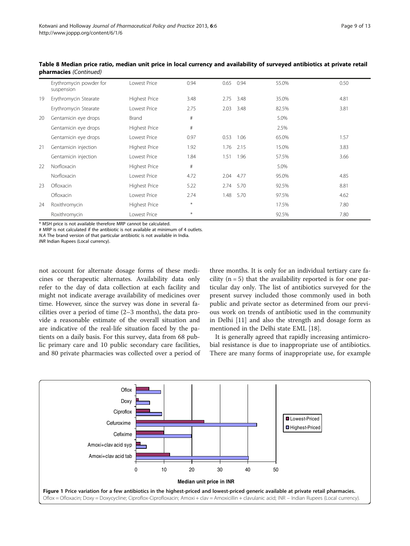|    | Erythromycin powder for<br>suspension | Lowest Price         | 0.94   | 0.65 | 0.94 | 55.0% | 0.50 |
|----|---------------------------------------|----------------------|--------|------|------|-------|------|
| 19 | Erythromycin Stearate                 | <b>Highest Price</b> | 3.48   | 2.75 | 3.48 | 35.0% | 4.81 |
|    | Erythromycin Stearate                 | Lowest Price         | 2.75   | 2.03 | 3.48 | 82.5% | 3.81 |
| 20 | Gentamicin eye drops                  | Brand                | $\#$   |      |      | 5.0%  |      |
|    | Gentamicin eye drops                  | <b>Highest Price</b> | $\#$   |      |      | 2.5%  |      |
|    | Gentamicin eye drops                  | Lowest Price         | 0.97   | 0.53 | 1.06 | 65.0% | 1.57 |
| 21 | Gentamicin injection                  | Highest Price        | 1.92   | 1.76 | 2.15 | 15.0% | 3.83 |
|    | Gentamicin injection                  | Lowest Price         | 1.84   | 1.51 | 1.96 | 57.5% | 3.66 |
| 22 | Norfloxacin                           | <b>Highest Price</b> | $\#$   |      |      | 5.0%  |      |
|    | Norfloxacin                           | Lowest Price         | 4.72   | 2.04 | 4.77 | 95.0% | 4.85 |
| 23 | Ofloxacin                             | <b>Highest Price</b> | 5.22   | 2.74 | 5.70 | 92.5% | 8.81 |
|    | Ofloxacin                             | Lowest Price         | 2.74   | 1.48 | 5.70 | 97.5% | 4.62 |
| 24 | Roxithromycin                         | <b>Highest Price</b> | $\ast$ |      |      | 17.5% | 7.80 |
|    | Roxithromycin                         | Lowest Price         | $\ast$ |      |      | 92.5% | 7.80 |

<span id="page-8-0"></span>Table 8 Median price ratio, median unit price in local currency and availability of surveyed antibiotics at private retail pharmacies (Continued)

\* MSH price is not available therefore MRP cannot be calculated.

# MRP is not calculated if the antibiotic is not available at minimum of 4 outlets. N.A The brand version of that particular antibiotic is not available in India. INR Indian Rupees (Local currency).

not account for alternate dosage forms of these medicines or therapeutic alternates. Availability data only refer to the day of data collection at each facility and might not indicate average availability of medicines over time. However, since the survey was done in several facilities over a period of time (2–3 months), the data provide a reasonable estimate of the overall situation and are indicative of the real-life situation faced by the patients on a daily basis. For this survey, data from 68 public primary care and 10 public secondary care facilities, and 80 private pharmacies was collected over a period of

three months. It is only for an individual tertiary care facility  $(n = 5)$  that the availability reported is for one particular day only. The list of antibiotics surveyed for the present survey included those commonly used in both public and private sector as determined from our previous work on trends of antibiotic used in the community in Delhi [[11\]](#page-11-0) and also the strength and dosage form as mentioned in the Delhi state EML [[18](#page-11-0)].

It is generally agreed that rapidly increasing antimicrobial resistance is due to inappropriate use of antibiotics. There are many forms of inappropriate use, for example

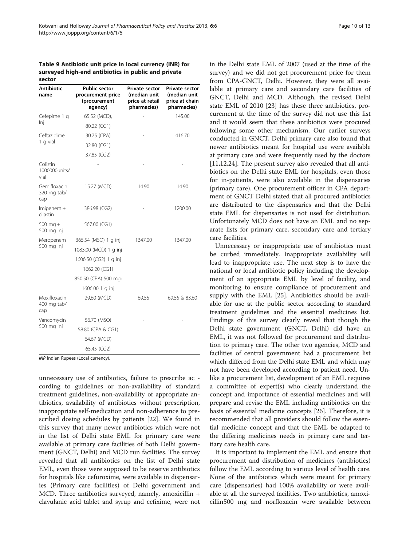<span id="page-9-0"></span>Table 9 Antibiotic unit price in local currency (INR) for surveyed high-end antibiotics in public and private sector

| Antibiotic<br>name                 | <b>Public sector</b><br>procurement price<br>(procurement<br>agency) | <b>Private sector</b><br>(median unit<br>price at retail<br>pharmacies) | <b>Private sector</b><br>(median unit<br>price at chain<br>pharmacies) |
|------------------------------------|----------------------------------------------------------------------|-------------------------------------------------------------------------|------------------------------------------------------------------------|
| Cefepime 1 q                       | 65.52 (MCD),                                                         |                                                                         | 145.00                                                                 |
| Inj                                | 80.22 (CG1)                                                          |                                                                         |                                                                        |
| Ceftazidime<br>1 q vial            | 30.75 (CPA)                                                          |                                                                         | 416.70                                                                 |
|                                    | 32.80 (CG1)                                                          |                                                                         |                                                                        |
|                                    | 37.85 (CG2)                                                          |                                                                         |                                                                        |
| Colistin<br>1000000units/<br>vial  |                                                                      |                                                                         |                                                                        |
| Gemifloxacin<br>320 mg tab/<br>cap | 15.27 (MCD)                                                          | 14.90                                                                   | 14.90                                                                  |
| $Imipenem +$<br>cilastin           | 386.98 (CG2)                                                         |                                                                         | 1200.00                                                                |
| $500$ mg +<br>500 mg Inj           | 567.00 (CG1)                                                         |                                                                         |                                                                        |
| Meropenem                          | 365.54 (MSO) 1 g inj                                                 | 1347.00                                                                 | 1347.00                                                                |
| 500 mg lnj                         | 1083.00 (MCD) 1 g inj                                                |                                                                         |                                                                        |
|                                    | 1606.50 (CG2) 1 g inj                                                |                                                                         |                                                                        |
|                                    | 1662.20 (CG1)                                                        |                                                                         |                                                                        |
|                                    | 850.50 (CPA) 500 mg;                                                 |                                                                         |                                                                        |
|                                    | 1606.00 1 g inj                                                      |                                                                         |                                                                        |
| Moxifloxacin<br>400 mg tab/<br>cap | 29.60 (MCD)                                                          | 69.55                                                                   | 69.55 & 83.60                                                          |
| Vancomycin<br>500 mg inj           | 56.70 (MSO)                                                          |                                                                         |                                                                        |
|                                    | 58.80 (CPA & CG1)                                                    |                                                                         |                                                                        |
|                                    | 64.67 (MCD)                                                          |                                                                         |                                                                        |
|                                    | 65.45 (CG2)                                                          |                                                                         |                                                                        |

INR Indian Rupees (Local currency).

unnecessary use of antibiotics, failure to prescribe ac cording to guidelines or non-availability of standard treatment guidelines, non-availability of appropriate antibiotics, availability of antibiotics without prescription, inappropriate self-medication and non-adherence to prescribed dosing schedules by patients [\[22\]](#page-11-0). We found in this survey that many newer antibiotics which were not in the list of Delhi state EML for primary care were available at primary care facilities of both Delhi government (GNCT, Delhi) and MCD run facilities. The survey revealed that all antibiotics on the list of Delhi state EML, even those were supposed to be reserve antibiotics for hospitals like cefuroxime, were available in dispensaries (Primary care facilities) of Delhi government and MCD. Three antibiotics surveyed, namely, amoxicillin + clavulanic acid tablet and syrup and cefixime, were not in the Delhi state EML of 2007 (used at the time of the survey) and we did not get procurement price for them from CPA-GNCT, Delhi. However, they were all available at primary care and secondary care facilities of GNCT, Delhi and MCD. Although, the revised Delhi state EML of 2010 [\[23](#page-11-0)] has these three antibiotics, procurement at the time of the survey did not use this list and it would seem that these antibiotics were procured following some other mechanism. Our earlier surveys conducted in GNCT, Delhi primary care also found that newer antibiotics meant for hospital use were available at primary care and were frequently used by the doctors [[11,12,24\]](#page-11-0). The present survey also revealed that all antibiotics on the Delhi state EML for hospitals, even those for in-patients, were also available in the dispensaries (primary care). One procurement officer in CPA department of GNCT Delhi stated that all procured antibiotics are distributed to the dispensaries and that the Delhi state EML for dispensaries is not used for distribution. Unfortunately MCD does not have an EML and no separate lists for primary care, secondary care and tertiary care facilities.

Unnecessary or inappropriate use of antibiotics must be curbed immediately. Inappropriate availability will lead to inappropriate use. The next step is to have the national or local antibiotic policy including the development of an appropriate EML by level of facility, and monitoring to ensure compliance of procurement and supply with the EML [[25\]](#page-11-0). Antibiotics should be available for use at the public sector according to standard treatment guidelines and the essential medicines list. Findings of this survey clearly reveal that though the Delhi state government (GNCT, Delhi) did have an EML, it was not followed for procurement and distribution to primary care. The other two agencies, MCD and facilities of central government had a procurement list which differed from the Delhi state EML and which may not have been developed according to patient need. Unlike a procurement list, development of an EML requires a committee of expert(s) who clearly understand the concept and importance of essential medicines and will prepare and revise the EML including antibiotics on the basis of essential medicine concepts [\[26](#page-11-0)]. Therefore, it is recommended that all providers should follow the essential medicine concept and that the EML be adapted to the differing medicines needs in primary care and tertiary care health care.

It is important to implement the EML and ensure that procurement and distribution of medicines (antibiotics) follow the EML according to various level of health care. None of the antibiotics which were meant for primary care (dispensaries) had 100% availability or were available at all the surveyed facilities. Two antibiotics, amoxicillin500 mg and norfloxacin were available between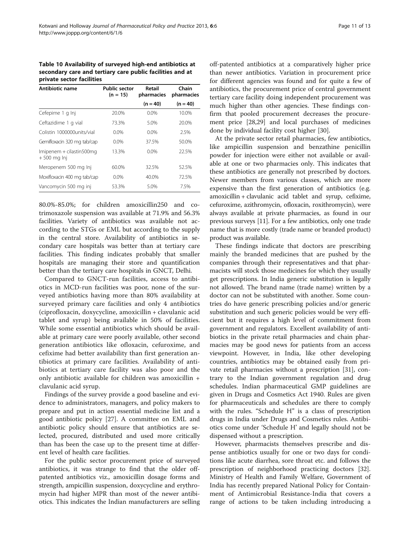<span id="page-10-0"></span>Table 10 Availability of surveyed high-end antibiotics at secondary care and tertiary care public facilities and at private sector facilities

| Antibiotic name                           | <b>Public sector</b><br>$(n = 15)$ | Retail<br>pharmacies | Chain<br>pharmacies |
|-------------------------------------------|------------------------------------|----------------------|---------------------|
|                                           |                                    | $(n = 40)$           | $(n = 40)$          |
| Cefepime 1 g Inj                          | 20.0%                              | $0.0\%$              | 10.0%               |
| Ceftazidime 1 g vial                      | 73.3%                              | 5.0%                 | 20.0%               |
| Colistin 1000000units/vial                | $0.0\%$                            | $0.0\%$              | 2.5%                |
| Gemifloxacin 320 mg tab/cap               | $0.0\%$                            | 37.5%                | 50.0%               |
| Imipenem + cilastin500mg<br>$+500$ mg lnj | 13.3%                              | $0.0\%$              | 22.5%               |
| Meropenem 500 mg Inj                      | 60.0%                              | 32.5%                | 52.5%               |
| Moxifloxacin 400 mg tab/cap               | $0.0\%$                            | 40.0%                | 72.5%               |
| Vancomycin 500 mg inj                     | 53.3%                              | 5.0%                 | 7.5%                |

80.0%-85.0%; for children amoxicillin250 and cotrimoxazole suspension was available at 71.9% and 56.3% facilities. Variety of antibiotics was available not according to the STGs or EML but according to the supply in the central store. Availability of antibiotics in secondary care hospitals was better than at tertiary care facilities. This finding indicates probably that smaller hospitals are managing their store and quantification better than the tertiary care hospitals in GNCT, Delhi.

Compared to GNCT-run facilities, access to antibiotics in MCD-run facilities was poor, none of the surveyed antibiotics having more than 80% availability at surveyed primary care facilities and only 4 antibiotics (ciprofloxacin, doxycycline, amoxicillin + clavulanic acid tablet and syrup) being available in 50% of facilities. While some essential antibiotics which should be available at primary care were poorly available, other second generation antibiotics like ofloxacin, cefuroxime, and cefixime had better availability than first generation antibiotics at primary care facilities. Availability of antibiotics at tertiary care facility was also poor and the only antibiotic available for children was amoxicillin + clavulanic acid syrup.

Findings of the survey provide a good baseline and evidence to administrators, managers, and policy makers to prepare and put in action essential medicine list and a good antibiotic policy [\[27](#page-12-0)]. A committee on EML and antibiotic policy should ensure that antibiotics are selected, procured, distributed and used more critically than has been the case up to the present time at different level of health care facilities.

For the public sector procurement price of surveyed antibiotics, it was strange to find that the older offpatented antibiotics viz., amoxicillin dosage forms and strength, ampicillin suspension, doxycycline and erythromycin had higher MPR than most of the newer antibiotics. This indicates the Indian manufacturers are selling off-patented antibiotics at a comparatively higher price than newer antibiotics. Variation in procurement price for different agencies was found and for quite a few of antibiotics, the procurement price of central government tertiary care facility doing independent procurement was much higher than other agencies. These findings confirm that pooled procurement decreases the procurement price [\[28,29\]](#page-12-0) and local purchases of medicines done by individual facility cost higher [[30\]](#page-12-0).

At the private sector retail pharmacies, few antibiotics, like ampicillin suspension and benzathine penicillin powder for injection were either not available or available at one or two pharmacies only. This indicates that these antibiotics are generally not prescribed by doctors. Newer members from various classes, which are more expensive than the first generation of antibiotics (e.g. amoxicillin + clavulanic acid tablet and syrup, cefixime, cefuroxime, azithromycin, ofloxacin, roxithromycin), were always available at private pharmacies, as found in our previous surveys [[11](#page-11-0)]. For a few antibiotics, only one trade name that is more costly (trade name or branded product) product was available.

These findings indicate that doctors are prescribing mainly the branded medicines that are pushed by the companies through their representatives and that pharmacists will stock those medicines for which they usually get prescriptions. In India generic substitution is legally not allowed. The brand name (trade name) written by a doctor can not be substituted with another. Some countries do have generic prescribing policies and/or generic substitution and such generic policies would be very efficient but it requires a high level of commitment from government and regulators. Excellent availability of antibiotics in the private retail pharmacies and chain pharmacies may be good news for patients from an access viewpoint. However, in India, like other developing countries, antibiotics may be obtained easily from private retail pharmacies without a prescription [[31\]](#page-12-0), contrary to the Indian government regulation and drug schedules. Indian pharmaceutical GMP guidelines are given in Drugs and Cosmetics Act 1940. Rules are given for pharmaceuticals and schedules are there to comply with the rules. "Schedule H" is a class of prescription drugs in India under Drugs and Cosmetics rules. Antibiotics come under 'Schedule H' and legally should not be dispensed without a prescription.

However, pharmacists themselves prescribe and dispense antibiotics usually for one or two days for conditions like acute diarrhea, sore throat etc. and follows the prescription of neighborhood practicing doctors [\[32](#page-12-0)]. Ministry of Health and Family Welfare, Government of India has recently prepared National Policy for Containment of Antimicrobial Resistance-India that covers a range of actions to be taken including introducing a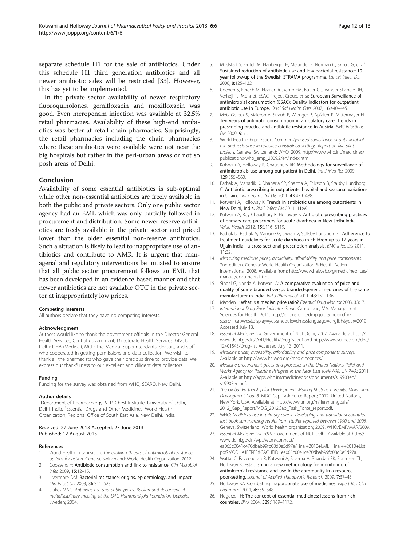<span id="page-11-0"></span>separate schedule H1 for the sale of antibiotics. Under this schedule H1 third generation antibiotics and all newer antibiotic sales will be restricted [[33](#page-12-0)]. However, this has yet to be implemented.

In the private sector availability of newer respiratory fluoroquinolones, gemifloxacin and moxifloxacin was good. Even meropenam injection was available at 32.5% retail pharmacies. Availability of these high-end antibiotics was better at retail chain pharmacies. Surprisingly, the retail pharmacies including the chain pharmacies where these antibiotics were available were not near the big hospitals but rather in the peri-urban areas or not so posh areas of Delhi.

#### Conclusion

Availability of some essential antibiotics is sub-optimal while other non-essential antibiotics are freely available in both the public and private sectors. Only one public sector agency had an EML which was only partially followed in procurement and distribution. Some newer reserve antibiotics are freely available in the private sector and priced lower than the older essential non-reserve antibiotics. Such a situation is likely to lead to inappropriate use of antibiotics and contribute to AMR. It is urgent that managerial and regulatory interventions be initiated to ensure that all public sector procurement follows an EML that has been developed in an evidence-based manner and that newer antibiotics are not available OTC in the private sector at inappropriately low prices.

#### Competing interests

All authors declare that they have no competing interests.

#### Acknowledgment

Authors would like to thank the government officials in the Director General Health Services, Central government; Directorate Health Services, GNCT, Delhi; DHA (Medical), MCD; the Medical Superintendants, doctors, and staff who cooperated in getting permissions and data collection. We wish to thank all the pharmacists who gave their precious time to provide data. We express our thankfulness to our excellent and diligent data collectors.

#### Funding

Funding for the survey was obtained from WHO, SEARO, New Delhi.

#### Author details

<sup>1</sup>Department of Pharmacology, V. P. Chest Institute, University of Delhi, Delhi, India. <sup>2</sup>Essential Drugs and Other Medicines, World Health Organization, Regional Office of South East Asia, New Delhi, India.

#### Received: 27 June 2013 Accepted: 27 June 2013 Published: 12 August 2013

#### References

- 1. World Health organization: The evolving threats of antimicrobial resistance: options for action. Geneva, Switzerland: World Health Organization; 2012.
- Goossens H: Antibiotic consumption and link to resistance. Clin Microbiol Infec 2009, 15:12–15.
- 3. Livermore DM: Bacterial resistance: origins, epidemiology, and impact. Clin Infect Dis 2003, 36:S11–S23.
- 4. Dukes MNG: Antibiotic use and public policy. Background document- A multidisciplinary meeting at the DAG Hammarskjold Foundation Uppsala. Sweden; 2004.
- 5. Moslstad S, Erntell M, Hanberger H, Melander E, Norman C, Skoog G, et al: Sustained reduction of antibiotic use and low bacterial resistance: 10 year follow-up of the Swedish STRAMA programme. Lancet Infect Dis 2008, 8:125–132.
- 6. Coenen S, Ferech M, Haaijer-Ruskamp FM, Butler CC, Vander Stichele RH, Verheji TJ, Monnet, ESAC Project Group, et al: European Surveillance of antimicrobial consumption (ESAC): Quality indicators for outpatient antibiotic use in Europe. Qual Saf Health Care 2007, 16:440–445.
- 7. Metz-Gereck S, Maieron A, Straub R, Wienger P, Apfalter P, Mittermayer H: Ten years of antibiotic consumption in ambulatory care: Trends in prescribing practice and antibiotic resistance in Austria. BMC Infectious Dis 2009, 9:61.
- 8. World Health Organization: Community-based surveillance of antimicrobial use and resistance in resource-constrained settings. Report on five pilot projects. Geneva, Switzerland: WHO; 2009. [http://www.who.int/medicines/](http://www.who.int/medicines/publications/who_emp_2009.2/en/index.html) [publications/who\\_emp\\_2009.2/en/index.html.](http://www.who.int/medicines/publications/who_emp_2009.2/en/index.html)
- 9. Kotwani A, Holloway K, Chaudhury RR: Methodology for surveillance of antimicrobials use among out-patient in Delhi. Ind J Med Res 2009, 129:555–560.
- 10. Pathak A, Mahadik K, Dhaneria SP, Sharma A, Eriksson B, Stalsby Lundborg C: Antibiotic prescribing in outpatients: hospital and seasonal variations in Ujjain. India. Scan J Inf Dis 2011, 43:479-488.
- 11. Kotwani A, Holloway K: Trends in antibiotic use among outpatients in New Delhi, India. BMC Infect Dis 2011, 11:99.
- 12. Kotwani A, Roy Chaudhury R, Holloway K: Antibiotic prescribing practices of primary care prescribers for acute diarrhoea in New Delhi India. Value Health 2012, 15:S116–S119.
- 13. Pathak D, Pathak A, Marrone G, Diwan V, Stålsby Lundborg C: Adherence to treatment guidelines for acute diarrhoea in children up to 12 years in Ujjain India - a cross-sectional prescription analysis. BMC Infec Dis 2011, 11:32.
- 14. Measuring medicine prices, availability, affordability and price components. 2nd edition. Geneva: World Health Organization & Health Action International; 2008. Available from: [http://www.haiweb.org/medicineprices/](http://www.haiweb.org/medicineprices/manual/documents.html) [manual/documents.html.](http://www.haiweb.org/medicineprices/manual/documents.html)
- 15. Singal G, Nanda A, Kotwani A: A comparative evaluation of price and quality of some branded versus branded-generic medicines of the same manufacturer in India. Ind J Pharmacol 2011, 43:131-136.
- 16. Madden J: What is a median price ratio? Essential Drug Monitor 2003, 33:17.
- 17. International Drug Price Indicator Guide. Cambridge, MA: Management Sciences for Health; 2011. [http://erc.msh.org/dmpguide/index.cfm?](http://erc.msh.org/dmpguide/index.cfm?search_cat=yes&display=yes&module=dmp&language=english&year=2010) [search\\_cat=yes&display=yes&module=dmp&language=english&year=2010](http://erc.msh.org/dmpguide/index.cfm?search_cat=yes&display=yes&module=dmp&language=english&year=2010) Accessed July 13.
- 18. Essential Medicine List. Government of NCT Delhi; 2007. Available at [http://](http://www.delhi.gov.in/DoIT/Health/Druglist.pdf) [www.delhi.gov.in/DoIT/Health/Druglist.pdf](http://www.delhi.gov.in/DoIT/Health/Druglist.pdf) and [http://www.scribd.com/doc/](http://www.scribd.com/doc/12401543/Drug-list) [12401543/Drug-list](http://www.scribd.com/doc/12401543/Drug-list) Accessed July 13, 2011.
- 19. Medicine prices, availability, affordability and price components surveys. Available at [http://www.haiweb.org/medicineprices/.](http://www.haiweb.org/medicineprices/)
- 20. Medicine procurement prices and processes in the United Nations Relief and Works Agency for Palestine Refugees in the Near East (UNRWA). UNRWA; 2011. Available at [http://apps.who.int/medicinedocs/documents/s19903en/](http://apps.who.int/medicinedocs/documents/s19903en/s19903en.pdf) [s19903en.pdf](http://apps.who.int/medicinedocs/documents/s19903en/s19903en.pdf).
- 21. The Global Partnership for Development: Making Rhetoric a Reality. Millennium Development Goal 8. MDG Gap Task Force Report; 2012. United Nations, New York, USA. Available at: [http://www.un.org/millenniumgoals/](http://www.un.org/millenniumgoals/2012_Gap_Report/MDG_2012Gap_Task_Force_report.pdf) [2012\\_Gap\\_Report/MDG\\_2012Gap\\_Task\\_Force\\_report.pdf.](http://www.un.org/millenniumgoals/2012_Gap_Report/MDG_2012Gap_Task_Force_report.pdf)
- 22. WHO: Medicines use in primary care in developing and transitional countries: fact book summarizing results from studies reported between 1990 and 2006. Geneva, Switzerland: World health organization; 2009. WHO/EMP/MAR/2009.
- 23. Essential Medicine List 2010. Government of NCT Delhi. Available at [http://](http://www.delhi.gov.in/wps/wcm/connect/ea065c0041c470dbab99fb08d0e5d97a/Final+2010+EML_Final++2010+List.pdf?MOD=AJPERES&CACHEID=ea065c0041c470dbab99fb08d0e5d97a) [www.delhi.gov.in/wps/wcm/connect/](http://www.delhi.gov.in/wps/wcm/connect/ea065c0041c470dbab99fb08d0e5d97a/Final+2010+EML_Final++2010+List.pdf?MOD=AJPERES&CACHEID=ea065c0041c470dbab99fb08d0e5d97a) [ea065c0041c470dbab99fb08d0e5d97a/Final+2010+EML\\_Final++2010+List.](http://www.delhi.gov.in/wps/wcm/connect/ea065c0041c470dbab99fb08d0e5d97a/Final+2010+EML_Final++2010+List.pdf?MOD=AJPERES&CACHEID=ea065c0041c470dbab99fb08d0e5d97a) [pdf?MOD=AJPERES&CACHEID=ea065c0041c470dbab99fb08d0e5d97a.](http://www.delhi.gov.in/wps/wcm/connect/ea065c0041c470dbab99fb08d0e5d97a/Final+2010+EML_Final++2010+List.pdf?MOD=AJPERES&CACHEID=ea065c0041c470dbab99fb08d0e5d97a)
- 24. Wattal C, Raveendran R, Kotwani A, Sharma A, Bhandari SK, Sorensen TL, Holloway K: Establishing a new methodology for monitoring of antimicrobial resistance and use in the community in a resource poor-setting. Journal of Applied Therapeutic Research 2009, 7:37–45.
- 25. Holloway KA: Combating inappropriate use of medicines. Expert Rev Clin Pharmacol 2011, 4:335–348.
- 26. Hogerzeil H: The concept of essential medicines: lessons from rich countries. BMJ 2004, 329:1169–1172.